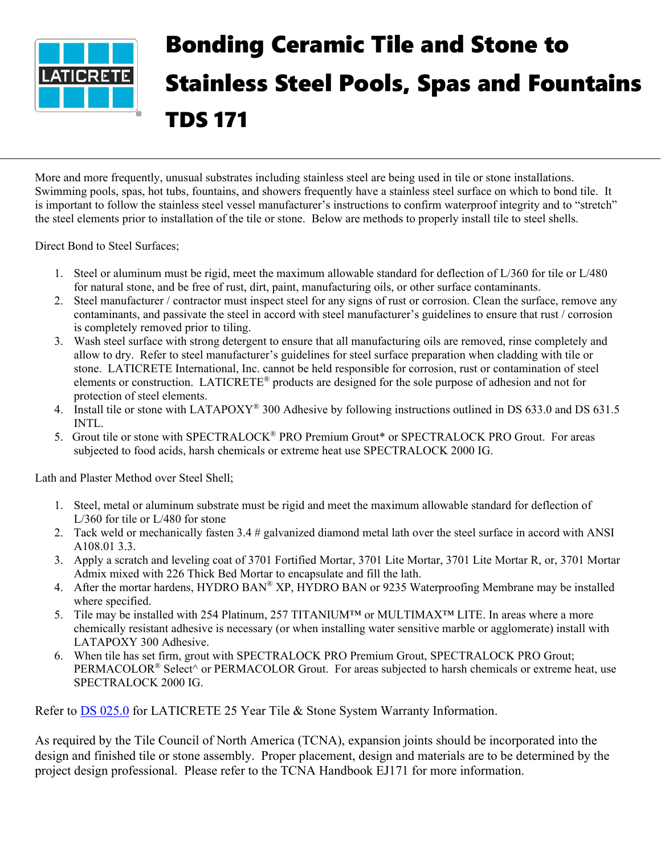

## Bonding Ceramic Tile and Stone to Stainless Steel Pools, Spas and Fountains TDS 171

More and more frequently, unusual substrates including stainless steel are being used in tile or stone installations. Swimming pools, spas, hot tubs, fountains, and showers frequently have a stainless steel surface on which to bond tile. It is important to follow the stainless steel vessel manufacturer's instructions to confirm waterproof integrity and to "stretch" the steel elements prior to installation of the tile or stone. Below are methods to properly install tile to steel shells.

Direct Bond to Steel Surfaces;

- 1. Steel or aluminum must be rigid, meet the maximum allowable standard for deflection of L/360 for tile or L/480 for natural stone, and be free of rust, dirt, paint, manufacturing oils, or other surface contaminants.
- 2. Steel manufacturer / contractor must inspect steel for any signs of rust or corrosion. Clean the surface, remove any contaminants, and passivate the steel in accord with steel manufacturer's guidelines to ensure that rust / corrosion is completely removed prior to tiling.
- 3. Wash steel surface with strong detergent to ensure that all manufacturing oils are removed, rinse completely and allow to dry. Refer to steel manufacturer's guidelines for steel surface preparation when cladding with tile or stone. LATICRETE International, Inc. cannot be held responsible for corrosion, rust or contamination of steel elements or construction. LATICRETE® products are designed for the sole purpose of adhesion and not for protection of steel elements.
- 4. Install tile or stone with LATAPOXY<sup>®</sup> 300 Adhesive by following instructions outlined in DS 633.0 and DS 631.5 INTL.
- 5. Grout tile or stone with SPECTRALOCK® PRO Premium Grout\* or SPECTRALOCK PRO Grout. For areas subjected to food acids, harsh chemicals or extreme heat use SPECTRALOCK 2000 IG.

Lath and Plaster Method over Steel Shell;

- 1. Steel, metal or aluminum substrate must be rigid and meet the maximum allowable standard for deflection of L/360 for tile or L/480 for stone
- 2. Tack weld or mechanically fasten 3.4 # galvanized diamond metal lath over the steel surface in accord with ANSI A108.01 3.3.
- 3. Apply a scratch and leveling coat of 3701 Fortified Mortar, 3701 Lite Mortar, 3701 Lite Mortar R, or, 3701 Mortar Admix mixed with 226 Thick Bed Mortar to encapsulate and fill the lath.
- 4. After the mortar hardens, HYDRO BAN® XP, HYDRO BAN or 9235 Waterproofing Membrane may be installed where specified.
- 5. Tile may be installed with 254 Platinum, 257 TITANIUM™ or MULTIMAX™ LITE. In areas where a more chemically resistant adhesive is necessary (or when installing water sensitive marble or agglomerate) install with LATAPOXY 300 Adhesive.
- 6. When tile has set firm, grout with SPECTRALOCK PRO Premium Grout, SPECTRALOCK PRO Grout; PERMACOLOR<sup>®</sup> Select^ or PERMACOLOR Grout. For areas subjected to harsh chemicals or extreme heat, use SPECTRALOCK 2000 IG.

Refer to DS [025.0](https://cdn.laticrete.com/~/media/product-documents/warranties/ds0250_25-year-system-warranty.ashx) for LATICRETE 25 Year Tile & Stone System Warranty Information.

As required by the Tile Council of North America (TCNA), expansion joints should be incorporated into the design and finished tile or stone assembly. Proper placement, design and materials are to be determined by the project design professional. Please refer to the TCNA Handbook EJ171 for more information.